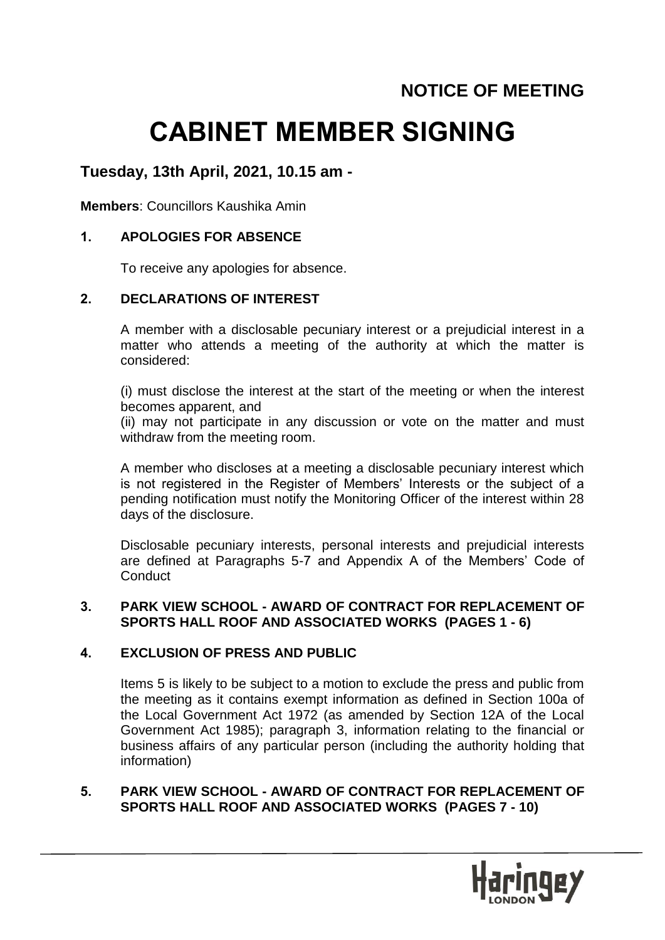# **NOTICE OF MEETING**

# **CABINET MEMBER SIGNING**

# **Tuesday, 13th April, 2021, 10.15 am -**

**Members**: Councillors Kaushika Amin

# **1. APOLOGIES FOR ABSENCE**

To receive any apologies for absence.

#### **2. DECLARATIONS OF INTEREST**

A member with a disclosable pecuniary interest or a prejudicial interest in a matter who attends a meeting of the authority at which the matter is considered:

(i) must disclose the interest at the start of the meeting or when the interest becomes apparent, and

(ii) may not participate in any discussion or vote on the matter and must withdraw from the meeting room.

A member who discloses at a meeting a disclosable pecuniary interest which is not registered in the Register of Members' Interests or the subject of a pending notification must notify the Monitoring Officer of the interest within 28 days of the disclosure.

Disclosable pecuniary interests, personal interests and prejudicial interests are defined at Paragraphs 5-7 and Appendix A of the Members' Code of **Conduct** 

#### **3. PARK VIEW SCHOOL - AWARD OF CONTRACT FOR REPLACEMENT OF SPORTS HALL ROOF AND ASSOCIATED WORKS (PAGES 1 - 6)**

# **4. EXCLUSION OF PRESS AND PUBLIC**

Items 5 is likely to be subject to a motion to exclude the press and public from the meeting as it contains exempt information as defined in Section 100a of the Local Government Act 1972 (as amended by Section 12A of the Local Government Act 1985); paragraph 3, information relating to the financial or business affairs of any particular person (including the authority holding that information)

# **5. PARK VIEW SCHOOL - AWARD OF CONTRACT FOR REPLACEMENT OF SPORTS HALL ROOF AND ASSOCIATED WORKS (PAGES 7 - 10)**